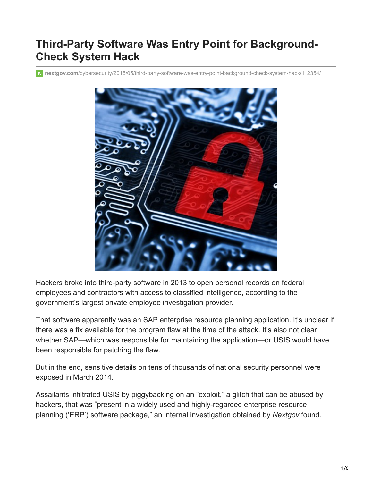# **Third-Party Software Was Entry Point for Background-Check System Hack**

**nextgov.com**[/cybersecurity/2015/05/third-party-software-was-entry-point-background-check-system-hack/112354/](https://www.nextgov.com/cybersecurity/2015/05/third-party-software-was-entry-point-background-check-system-hack/112354/)



Hackers broke into third-party software in 2013 to open personal records on federal employees and contractors with access to classified intelligence, according to the government's largest private employee investigation provider.

That software apparently was an SAP enterprise resource planning application. It's unclear if there was a fix available for the program flaw at the time of the attack. It's also not clear whether SAP—which was responsible for maintaining the application—or USIS would have been responsible for patching the flaw.

But in the end, sensitive details on tens of thousands of national security personnel were exposed in March 2014.

Assailants infiltrated USIS by piggybacking on an "exploit," a glitch that can be abused by hackers, that was "present in a widely used and highly-regarded enterprise resource planning ('ERP') software package," an internal investigation obtained by *Nextgov* found.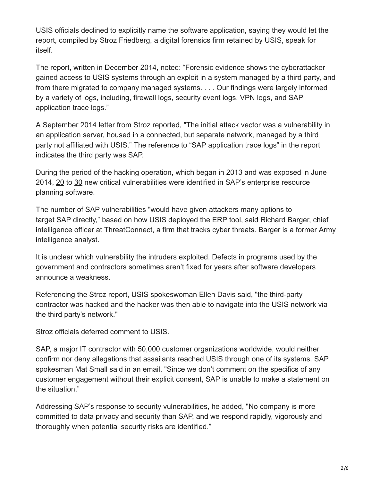USIS officials declined to explicitly name the software application, saying they would let the report, compiled by Stroz Friedberg, a digital forensics firm retained by USIS, speak for itself.

The report, written in December 2014, noted: "Forensic evidence shows the cyberattacker gained access to USIS systems through an exploit in a system managed by a third party, and from there migrated to company managed systems. . . . Our findings were largely informed by a variety of logs, including, firewall logs, security event logs, VPN logs, and SAP application trace logs."

A September 2014 letter from Stroz reported, "The initial attack vector was a vulnerability in an application server, housed in a connected, but separate network, managed by a third party not affiliated with USIS." The reference to "SAP application trace logs" in the report indicates the third party was SAP.

During the period of the hacking operation, which began in 2013 and was exposed in June 2014, [20](https://web.nvd.nist.gov/view/vuln/search-results?adv_search=true&cves=on&query=SAP&pub_date_start_month=0&pub_date_start_year=2013&pub_date_end_month=2&pub_date_end_year=2014&cvss_sev_base=HIGH&cve_id=) to [30](https://web.nvd.nist.gov/view/vuln/search-results?adv_search=true&cves=on&query=SAP&pub_date_start_month=2&pub_date_start_year=2014&pub_date_end_month=5&pub_date_end_year=2014&cvss_sev_base=HIGH&cve_id=) new critical vulnerabilities were identified in SAP's enterprise resource planning software.

The number of SAP vulnerabilities "would have given attackers many options to target SAP directly," based on how USIS deployed the ERP tool, said Richard Barger, chief intelligence officer at ThreatConnect, a firm that tracks cyber threats. Barger is a former Army intelligence analyst.

It is unclear which vulnerability the intruders exploited. Defects in programs used by the government and contractors sometimes aren't fixed for years after software developers announce a weakness.

Referencing the Stroz report, USIS spokeswoman Ellen Davis said, "the third-party contractor was hacked and the hacker was then able to navigate into the USIS network via the third party's network."

Stroz officials deferred comment to USIS.

SAP, a major IT contractor with 50,000 customer organizations worldwide, would neither confirm nor deny allegations that assailants reached USIS through one of its systems. SAP spokesman Mat Small said in an email, "Since we don't comment on the specifics of any customer engagement without their explicit consent, SAP is unable to make a statement on the situation."

Addressing SAP's response to security vulnerabilities, he added, "No company is more committed to data privacy and security than SAP, and we respond rapidly, vigorously and thoroughly when potential security risks are identified."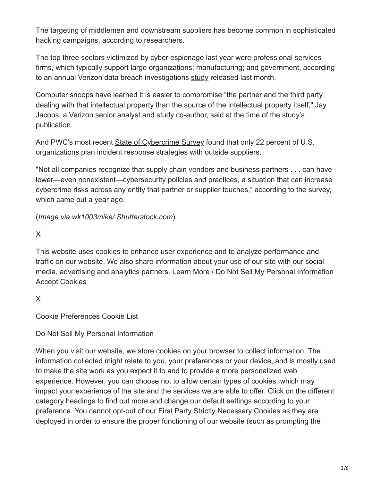The targeting of middlemen and downstream suppliers has become common in sophisticated hacking campaigns, according to researchers.

The top three sectors victimized by cyber espionage last year were professional services firms, which typically support large organizations; manufacturing; and government, according to an annual Verizon data breach investigations [study](http://news.verizonenterprise.com/2015/04/2015-data-breach-report-info/) released last month.

Computer snoops have learned it is easier to compromise "the partner and the third party dealing with that intellectual property than the source of the intellectual property itself," Jay Jacobs, a Verizon senior analyst and study co-author, said at the time of the study's publication.

And PWC's most recent [State of Cybercrime Survey](http://www.pwc.com/en_US/us/increasing-it-effectiveness/publications/assets/us-state-of-cybercrime.pdf) found that only 22 percent of U.S. organizations plan incident response strategies with outside suppliers.

"Not all companies recognize that supply chain vendors and business partners . . . can have lower—even nonexistent—cybersecurity policies and practices, a situation that can increase cybercrime risks across any entity that partner or supplier touches," according to the survey, which came out a year ago.

(*Image via [wk1003mike](http://www.shutterstock.com/pic-197986028/stock-photo-hacked-symbol-on-computer-circuit-board-with-open-red-padlock.html?src=fbjBx_1k2jsjnNidPq-W9w-1-1)/ Shutterstock.com*)

X

This website uses cookies to enhance user experience and to analyze performance and traffic on our website. We also share information about your use of our site with our social media, advertising and analytics partners. Learn More / [Do Not Sell My Personal Information](https://www.nextgov.com/do-not-sell/) Accept Cookies

X

Cookie Preferences Cookie List

Do Not Sell My Personal Information

When you visit our website, we store cookies on your browser to collect information. The information collected might relate to you, your preferences or your device, and is mostly used to make the site work as you expect it to and to provide a more personalized web experience. However, you can choose not to allow certain types of cookies, which may impact your experience of the site and the services we are able to offer. Click on the different category headings to find out more and change our default settings according to your preference. You cannot opt-out of our First Party Strictly Necessary Cookies as they are deployed in order to ensure the proper functioning of our website (such as prompting the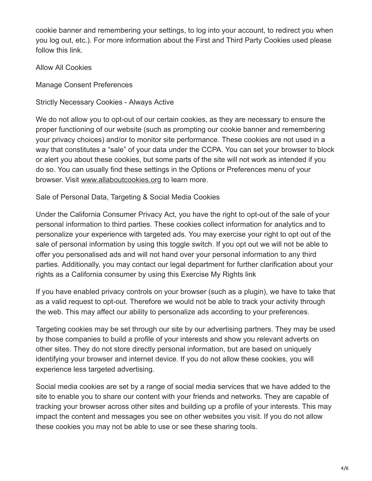cookie banner and remembering your settings, to log into your account, to redirect you when you log out, etc.). For more information about the First and Third Party Cookies used please follow this link.

Allow All Cookies

Manage Consent Preferences

Strictly Necessary Cookies - Always Active

We do not allow you to opt-out of our certain cookies, as they are necessary to ensure the proper functioning of our website (such as prompting our cookie banner and remembering your privacy choices) and/or to monitor site performance. These cookies are not used in a way that constitutes a "sale" of your data under the CCPA. You can set your browser to block or alert you about these cookies, but some parts of the site will not work as intended if you do so. You can usually find these settings in the Options or Preferences menu of your browser. Visit [www.allaboutcookies.org](https://www.allaboutcookies.org/) to learn more.

Sale of Personal Data, Targeting & Social Media Cookies

Under the California Consumer Privacy Act, you have the right to opt-out of the sale of your personal information to third parties. These cookies collect information for analytics and to personalize your experience with targeted ads. You may exercise your right to opt out of the sale of personal information by using this toggle switch. If you opt out we will not be able to offer you personalised ads and will not hand over your personal information to any third parties. Additionally, you may contact our legal department for further clarification about your rights as a California consumer by using this Exercise My Rights link

If you have enabled privacy controls on your browser (such as a plugin), we have to take that as a valid request to opt-out. Therefore we would not be able to track your activity through the web. This may affect our ability to personalize ads according to your preferences.

Targeting cookies may be set through our site by our advertising partners. They may be used by those companies to build a profile of your interests and show you relevant adverts on other sites. They do not store directly personal information, but are based on uniquely identifying your browser and internet device. If you do not allow these cookies, you will experience less targeted advertising.

Social media cookies are set by a range of social media services that we have added to the site to enable you to share our content with your friends and networks. They are capable of tracking your browser across other sites and building up a profile of your interests. This may impact the content and messages you see on other websites you visit. If you do not allow these cookies you may not be able to use or see these sharing tools.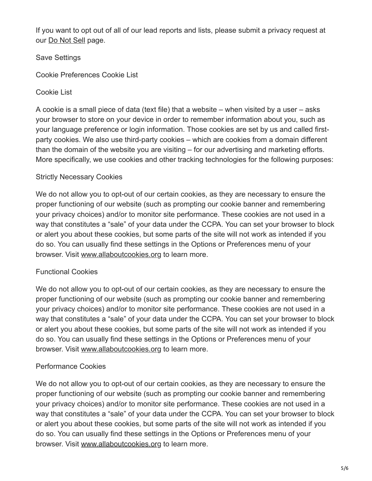If you want to opt out of all of our lead reports and lists, please submit a privacy request at our [Do Not Sell](https://www.nextgov.com/do-not-sell/) page.

Save Settings

Cookie Preferences Cookie List

Cookie List

A cookie is a small piece of data (text file) that a website – when visited by a user – asks your browser to store on your device in order to remember information about you, such as your language preference or login information. Those cookies are set by us and called firstparty cookies. We also use third-party cookies – which are cookies from a domain different than the domain of the website you are visiting – for our advertising and marketing efforts. More specifically, we use cookies and other tracking technologies for the following purposes:

## Strictly Necessary Cookies

We do not allow you to opt-out of our certain cookies, as they are necessary to ensure the proper functioning of our website (such as prompting our cookie banner and remembering your privacy choices) and/or to monitor site performance. These cookies are not used in a way that constitutes a "sale" of your data under the CCPA. You can set your browser to block or alert you about these cookies, but some parts of the site will not work as intended if you do so. You can usually find these settings in the Options or Preferences menu of your browser. Visit [www.allaboutcookies.org](https://www.allaboutcookies.org/) to learn more.

## Functional Cookies

We do not allow you to opt-out of our certain cookies, as they are necessary to ensure the proper functioning of our website (such as prompting our cookie banner and remembering your privacy choices) and/or to monitor site performance. These cookies are not used in a way that constitutes a "sale" of your data under the CCPA. You can set your browser to block or alert you about these cookies, but some parts of the site will not work as intended if you do so. You can usually find these settings in the Options or Preferences menu of your browser. Visit [www.allaboutcookies.org](https://www.allaboutcookies.org/) to learn more.

# Performance Cookies

We do not allow you to opt-out of our certain cookies, as they are necessary to ensure the proper functioning of our website (such as prompting our cookie banner and remembering your privacy choices) and/or to monitor site performance. These cookies are not used in a way that constitutes a "sale" of your data under the CCPA. You can set your browser to block or alert you about these cookies, but some parts of the site will not work as intended if you do so. You can usually find these settings in the Options or Preferences menu of your browser. Visit [www.allaboutcookies.org](https://www.allaboutcookies.org/) to learn more.